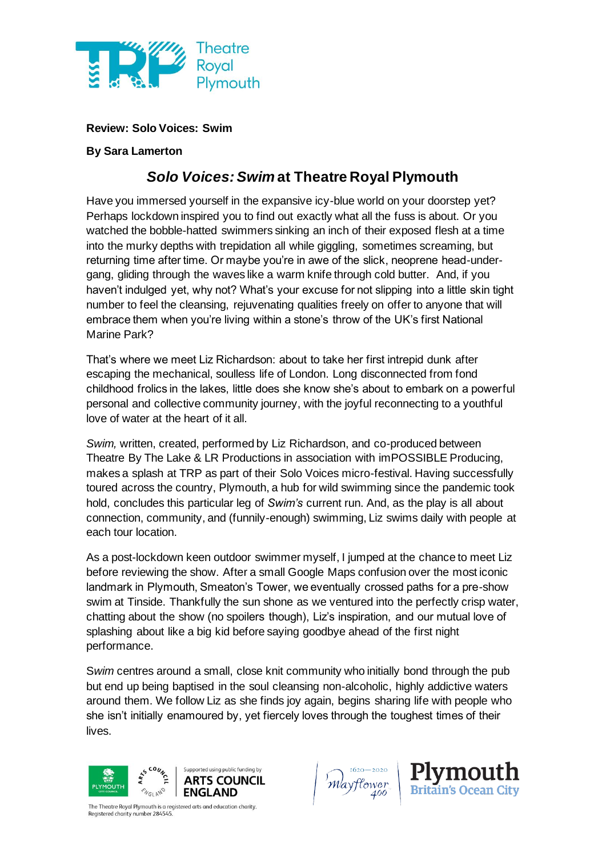

**Review: Solo Voices: Swim**

## **By Sara Lamerton**

## *Solo Voices: Swim* **at Theatre Royal Plymouth**

Have you immersed yourself in the expansive icy-blue world on your doorstep yet? Perhaps lockdown inspired you to find out exactly what all the fuss is about. Or you watched the bobble-hatted swimmers sinking an inch of their exposed flesh at a time into the murky depths with trepidation all while giggling, sometimes screaming, but returning time after time. Or maybe you're in awe of the slick, neoprene head-undergang, gliding through the waves like a warm knife through cold butter. And, if you haven't indulged yet, why not? What's your excuse for not slipping into a little skin tight number to feel the cleansing, rejuvenating qualities freely on offer to anyone that will embrace them when you're living within a stone's throw of the UK's first National Marine Park?

That's where we meet Liz Richardson: about to take her first intrepid dunk after escaping the mechanical, soulless life of London. Long disconnected from fond childhood frolics in the lakes, little does she know she's about to embark on a powerful personal and collective community journey, with the joyful reconnecting to a youthful love of water at the heart of it all.

*Swim,* written, created, performed by Liz Richardson, and co-produced between Theatre By The Lake & LR Productions in association with imPOSSIBLE Producing, makes a splash at TRP as part of their Solo Voices micro-festival. Having successfully toured across the country, Plymouth, a hub for wild swimming since the pandemic took hold, concludes this particular leg of *Swim's* current run. And, as the play is all about connection, community, and (funnily-enough) swimming, Liz swims daily with people at each tour location.

As a post-lockdown keen outdoor swimmer myself, I jumped at the chance to meet Liz before reviewing the show. After a small Google Maps confusion over the most iconic landmark in Plymouth, Smeaton's Tower, we eventually crossed paths for a pre-show swim at Tinside. Thankfully the sun shone as we ventured into the perfectly crisp water, chatting about the show (no spoilers though), Liz's inspiration, and our mutual love of splashing about like a big kid before saying goodbye ahead of the first night performance.

S*wim* centres around a small, close knit community who initially bond through the pub but end up being baptised in the soul cleansing non-alcoholic, highly addictive waters around them. We follow Liz as she finds joy again, begins sharing life with people who she isn't initially enamoured by, yet fiercely loves through the toughest times of their lives.



The Theatre Royal Plymouth is a registered arts and education charity. Registered charity number 284545